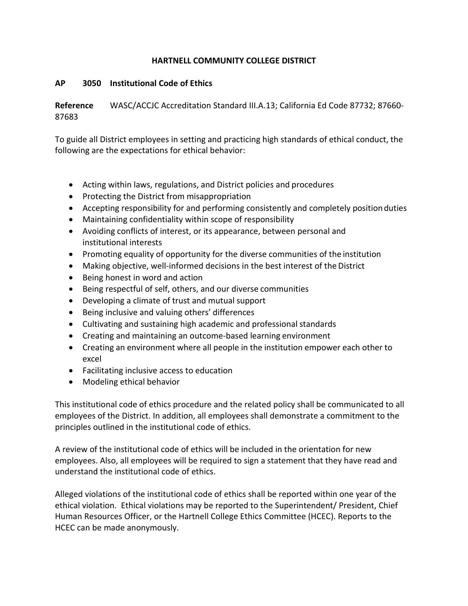## **HARTNELL COMMUNITY COLLEGE DISTRICT**

## **AP 3050 Institutional Code of Ethics**

**Reference** WASC/ACCJC Accreditation Standard III.A.13; California Ed Code 87732; 87660- 87683

To guide all District employees in setting and practicing high standards of ethical conduct, the following are the expectations for ethical behavior:

- Acting within laws, regulations, and District policies and procedures
- Protecting the District from misappropriation
- Accepting responsibility for and performing consistently and completely position duties
- Maintaining confidentiality within scope of responsibility
- Avoiding conflicts of interest, or its appearance, between personal and institutional interests
- Promoting equality of opportunity for the diverse communities of the institution
- Making objective, well-informed decisions in the best interest of the District
- Being honest in word and action
- Being respectful of self, others, and our diverse communities
- Developing a climate of trust and mutual support
- Being inclusive and valuing others' differences
- Cultivating and sustaining high academic and professional standards
- Creating and maintaining an outcome-based learning environment
- Creating an environment where all people in the institution empower each other to excel
- Facilitating inclusive access to education
- Modeling ethical behavior

This institutional code of ethics procedure and the related policy shall be communicated to all employees of the District. In addition, all employees shall demonstrate a commitment to the principles outlined in the institutional code of ethics.

A review of the institutional code of ethics will be included in the orientation for new employees. Also, all employees will be required to sign a statement that they have read and understand the institutional code of ethics.

Alleged violations of the institutional code of ethics shall be reported within one year of the ethical violation. Ethical violations may be reported to the Superintendent/ President, Chief Human Resources Officer, or the Hartnell College Ethics Committee (HCEC). Reports to the HCEC can be made anonymously.